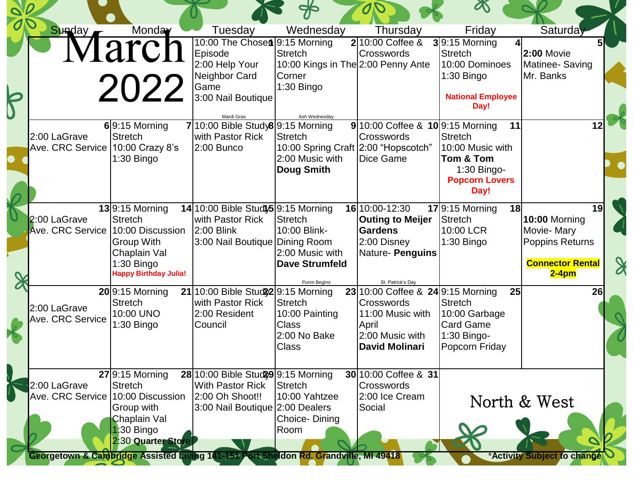| Sunday                                            | Monday<br>Tarch<br>2022                                                                                           | Tuesday<br>10:00 The Chosen 9:15 Morning<br>Episode<br>2:00 Help Your<br>Neighbor Card<br>Game<br>3:00 Nail Boutique | Wednesday<br>Stretch<br>10:00 Kings in The 2:00 Penny Ante<br>Corner<br>1:30 Bingo                             | Thursday<br>$2 10:00$ Coffee &<br><b>Crosswords</b>                                                                      | Friday<br>$3 9:15$ Morning<br><b>Stretch</b><br>10:00 Dominoes<br>1:30 Bingo<br><b>National Employee</b><br>Day! | Saturday<br>$2:00$ Movie<br>Matinee-Saving<br>Mr. Banks                                    |
|---------------------------------------------------|-------------------------------------------------------------------------------------------------------------------|----------------------------------------------------------------------------------------------------------------------|----------------------------------------------------------------------------------------------------------------|--------------------------------------------------------------------------------------------------------------------------|------------------------------------------------------------------------------------------------------------------|--------------------------------------------------------------------------------------------|
| 2:00 LaGrave<br>Ave. CRC Service 10:00 Crazy 8's  | $6$  9:15 Morning<br><b>Stretch</b><br>$1:30$ Bingo                                                               | Mardi Gras<br>7 10:00 Bible Study8 9:15 Morning<br>with Pastor Rick<br>2:00 Bunco                                    | Ash Wednesday<br><b>Stretch</b><br>10:00 Spring Craft 2:00 "Hopscotch"<br>2:00 Music with<br><b>Doug Smith</b> | $9 10:00$ Coffee & $10 9:15$ Morning<br>Crosswords<br>Dice Game                                                          | 11<br><b>Stretch</b><br>10:00 Music with<br>Tom & Tom<br>1:30 Bingo-<br><b>Popcorn Lovers</b><br>Day!            | 12                                                                                         |
| 2:00 LaGrave<br>Ave. CRC Service 10:00 Discussion | $13$ 9:15 Morning<br><b>Stretch</b><br>Group With<br>Chaplain Val<br>$1:30$ Bingo<br><b>Happy Birthday Julia!</b> | 14 10:00 Bible Study5 9:15 Morning<br>with Pastor Rick<br>2:00 Blink<br>3:00 Nail Boutique Dining Room               | <b>Stretch</b><br>10:00 Blink-<br>2:00 Music with<br><b>Dave Strumfeld</b><br>Purim Begins                     | 16 10:00 - 12:30<br><b>Outing to Meijer</b><br><b>Gardens</b><br>2:00 Disney<br>Nature- Penguins<br>St. Patrick's Day    | $17$ 9:15 Morning<br>18 <sup>l</sup><br>Stretch<br>10:00 LCR<br>$1:30$ Bingo                                     | 19<br>10:00 Morning<br>Movie-Mary<br>Poppins Returns<br><b>Connector Rental</b><br>$2-4pm$ |
| 2:00 LaGrave<br>Ave. CRC Service                  | $20$ 9:15 Morning<br><b>Stretch</b><br>10:00 UNO<br>$1:30$ Bingo                                                  | 21 10:00 Bible Stud 22 9:15 Morning<br>with Pastor Rick<br>2:00 Resident<br>Council                                  | <b>Stretch</b><br>10:00 Painting<br><b>Class</b><br>2:00 No Bake<br><b>Class</b>                               | 23 10:00 Coffee & 24 9:15 Morning<br>Crosswords<br>11:00 Music with<br>April<br>2:00 Music with<br><b>David Molinari</b> | 25<br><b>Stretch</b><br>10:00 Garbage<br><b>Card Game</b><br>1:30 Bingo-<br>Popcorn Friday                       | 26                                                                                         |
| 2:00 LaGrave<br>Ave. CRC Service 10:00 Discussion | $27$ 9:15 Morning<br><b>Stretch</b><br>Group with<br>Chaplain Val<br>1:30 Bingo<br>2:30 Quarter Store             | 28 10:00 Bible Stud 29 9:15 Morning<br><b>With Pastor Rick</b><br>2:00 Oh Shoot!!<br>3:00 Nail Boutique 2:00 Dealers | <b>Stretch</b><br>10:00 Yahtzee<br>Choice-Dining<br>Room                                                       | 30 10:00 Coffee & 31<br>Crosswords<br>2:00 Ice Cream<br>Social                                                           |                                                                                                                  | North & West                                                                               |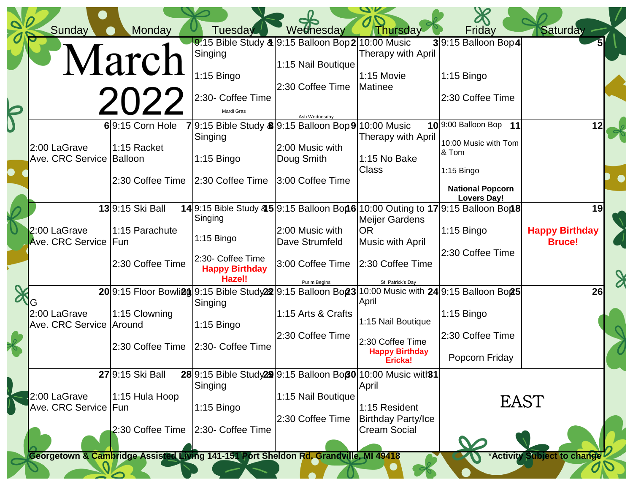|                         | Sunday                                  | Monday                               | Tuesday                                              | Wednesday                                                                            | Thursday                                         | Friday                                                                                                | <b>Saturday</b>                        |  |
|-------------------------|-----------------------------------------|--------------------------------------|------------------------------------------------------|--------------------------------------------------------------------------------------|--------------------------------------------------|-------------------------------------------------------------------------------------------------------|----------------------------------------|--|
|                         |                                         |                                      | Singing                                              | 9:15 Bible Study $\frac{3}{2}$ 9:15 Balloon Bop 2 10:00 Music                        | <b>Therapy with April</b>                        | $3 9:15$ Balloon Bop 4                                                                                |                                        |  |
|                         |                                         | March                                | 1:15 Bingo                                           | 1:15 Nail Boutique                                                                   | 1:15 Movie                                       | $1:15$ Bingo                                                                                          |                                        |  |
|                         |                                         | 2022                                 | 2:30- Coffee Time<br>Mardi Gras                      | 2:30 Coffee Time                                                                     | Matinee                                          | 2:30 Coffee Time                                                                                      |                                        |  |
| 5                       |                                         | $6$  9:15 Corn Hole                  |                                                      | Ash Wednesdav<br>79:15 Bible Study 89:15 Balloon Bop 910:00 Music                    |                                                  | 10 9:00 Balloon Bop 11                                                                                |                                        |  |
|                         | 2:00 LaGrave                            | 1:15 Racket                          | Singing                                              | 2:00 Music with                                                                      | <b>Therapy with April</b>                        | 10:00 Music with Tom                                                                                  |                                        |  |
| $\bullet$               | Ave. CRC Service Balloon                |                                      | $1:15$ Bingo                                         | Doug Smith                                                                           | 1:15 No Bake<br><b>Class</b>                     | & Tom<br>1:15 Bingo                                                                                   |                                        |  |
|                         |                                         | 2:30 Coffee Time                     | 2:30 Coffee Time                                     | 3:00 Coffee Time                                                                     |                                                  | <b>National Popcorn</b><br><b>Lovers Day!</b>                                                         |                                        |  |
|                         |                                         | 139:15 Ski Ball                      | Singing                                              |                                                                                      | <b>Meijer Gardens</b>                            | 14 9:15 Bible Study & 5 9:15 Balloon Bon 6 10:00 Outing to 17 9:15 Balloon Bon 8                      | 19                                     |  |
|                         | 2:00 LaGrave<br><b>Ave. CRC Service</b> | 1:15 Parachute<br>Fun                | 1:15 Bingo                                           | 2:00 Music with<br>Dave Strumfeld                                                    | <b>OR</b><br>Music with April                    | $1:15$ Bingo                                                                                          | <b>Happy Birthday</b><br><b>Bruce!</b> |  |
|                         |                                         | 2:30 Coffee Time                     | 2:30- Coffee Time<br><b>Happy Birthday</b><br>Hazel! | 3:00 Coffee Time<br>Purim Begins                                                     | 2:30 Coffee Time<br>St. Patrick's Day            | 2:30 Coffee Time                                                                                      |                                        |  |
|                         |                                         |                                      | Singing                                              |                                                                                      | April                                            | 20 9:15 Floor Bowliag 9:15 Bible Study 22 9:15 Balloon Bon 23 10:00 Music with 24 9:15 Balloon Bon 25 | 26                                     |  |
|                         | 2:00 LaGrave<br>Ave. CRC Service Around | 1:15 Clowning                        | 1:15 Bingo                                           | 1:15 Arts & Crafts                                                                   | 1:15 Nail Boutique                               | $1:15$ Bingo                                                                                          |                                        |  |
| $\overline{\mathbf{X}}$ |                                         | 2:30 Coffee Time   2:30- Coffee Time |                                                      | 2:30 Coffee Time                                                                     | 2:30 Coffee Time<br><b>Happy Birthday</b>        | 2:30 Coffee Time                                                                                      |                                        |  |
|                         |                                         |                                      |                                                      |                                                                                      | Ericka!                                          | Popcorn Friday                                                                                        |                                        |  |
|                         |                                         | 27 9:15 Ski Ball                     | Singing                                              | 28 9:15 Bible Study 29 9:15 Balloon Bop 0 10:00 Music with 31                        | April                                            |                                                                                                       |                                        |  |
|                         | 2:00 LaGrave<br>Ave. CRC Service  Fun   | 1:15 Hula Hoop                       | $1:15$ Bingo                                         | 1:15 Nail Boutique                                                                   | 1:15 Resident                                    |                                                                                                       | <b>EAST</b>                            |  |
|                         |                                         | 2:30 Coffee Time                     | 2:30- Coffee Time                                    | 2:30 Coffee Time                                                                     | <b>Birthday Party/Ice</b><br><b>Cream Social</b> |                                                                                                       |                                        |  |
|                         |                                         |                                      |                                                      | Georgetown & Cambridge Assisted Living 141-151 Port Sheldon Rd. Grandville, MI 49418 |                                                  |                                                                                                       | *Activity Subject to change            |  |